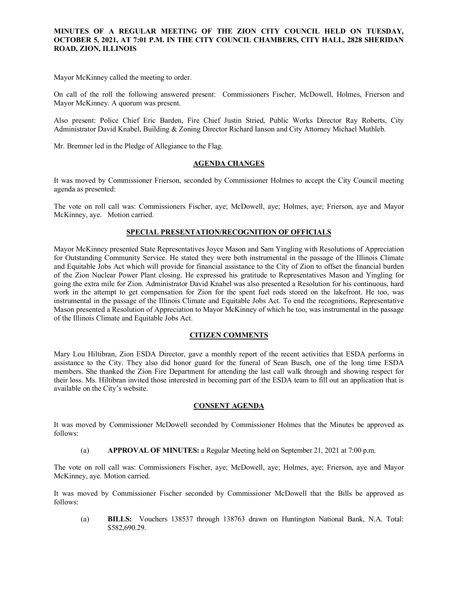### **MINUTES OF A REGULAR MEETING OF THE ZION CITY COUNCIL HELD ON TUESDAY, OCTOBER 5, 2021, AT 7:01 P.M. IN THE CITY COUNCIL CHAMBERS, CITY HALL, 2828 SHERIDAN ROAD, ZION, ILLINOIS**

#### 

Mayor McKinney called the meeting to order.

On call of the roll the following answered present: Commissioners Fischer, McDowell, Holmes, Frierson and Mayor McKinney. A quorum was present.

Also present: Police Chief Eric Barden, Fire Chief Justin Stried, Public Works Director Ray Roberts, City Administrator David Knabel, Building & Zoning Director Richard Ianson and City Attorney Michael Muthleb.

Mr. Bremner led in the Pledge of Allegiance to the Flag.

### **AGENDA CHANGES**

It was moved by Commissioner Frierson, seconded by Commissioner Holmes to accept the City Council meeting agenda as presented:

The vote on roll call was: Commissioners Fischer, aye; McDowell, aye; Holmes, aye; Frierson, aye and Mayor McKinney, aye. Motion carried.

### **SPECIAL PRESENTATION/RECOGNITION OF OFFICIALS**

Mayor McKinney presented State Representatives Joyce Mason and Sam Yingling with Resolutions of Appreciation for Outstanding Community Service. He stated they were both instrumental in the passage of the Illinois Climate and Equitable Jobs Act which will provide for financial assistance to the City of Zion to offset the financial burden of the Zion Nuclear Power Plant closing. He expressed his gratitude to Representatives Mason and Yingling for going the extra mile for Zion. Administrator David Knabel was also presented a Resolution for his continuous, hard work in the attempt to get compensation for Zion for the spent fuel rods stored on the lakefront. He too, was instrumental in the passage of the Illinois Climate and Equitable Jobs Act. To end the recognitions, Representative Mason presented a Resolution of Appreciation to Mayor McKinney of which he too, was instrumental in the passage of the Illinois Climate and Equitable Jobs Act.

#### **CITIZEN COMMENTS**

Mary Lou Hiltibran, Zion ESDA Director, gave a monthly report of the recent activities that ESDA performs in assistance to the City. They also did honor guard for the funeral of Sean Busch, one of the long time ESDA members. She thanked the Zion Fire Department for attending the last call walk through and showing respect for their loss. Ms. Hiltibran invited those interested in becoming part of the ESDA team to fill out an application that is available on the City's website.

## **CONSENT AGENDA**

It was moved by Commissioner McDowell seconded by Commissioner Holmes that the Minutes be approved as follows:

(a) **APPROVAL OF MINUTES:** a Regular Meeting held on September 21, 2021 at 7:00 p.m.

The vote on roll call was: Commissioners Fischer, aye; McDowell, aye; Holmes, aye; Frierson, aye and Mayor McKinney, aye. Motion carried.

It was moved by Commissioner Fischer seconded by Commissioner McDowell that the Bills be approved as follows:

(a) **BILLS:** Vouchers 138537 through 138763 drawn on Huntington National Bank, N.A. Total: \$582,690.29.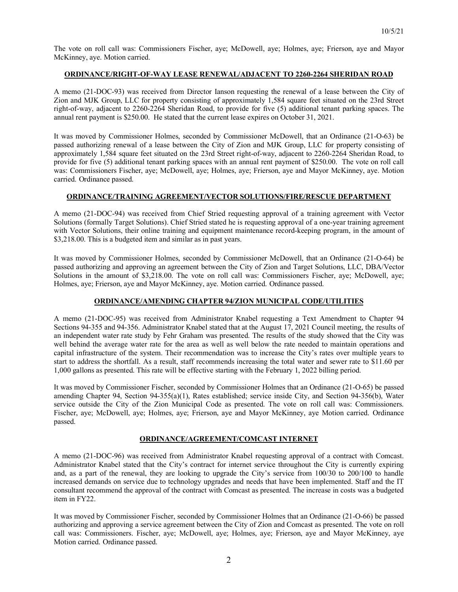The vote on roll call was: Commissioners Fischer, aye; McDowell, aye; Holmes, aye; Frierson, aye and Mayor McKinney, aye. Motion carried.

## **ORDINANCE/RIGHT-OF-WAY LEASE RENEWAL/ADJACENT TO 2260-2264 SHERIDAN ROAD**

A memo (21-DOC-93) was received from Director Ianson requesting the renewal of a lease between the City of Zion and MJK Group, LLC for property consisting of approximately 1,584 square feet situated on the 23rd Street right-of-way, adjacent to 2260-2264 Sheridan Road, to provide for five (5) additional tenant parking spaces. The annual rent payment is \$250.00. He stated that the current lease expires on October 31, 2021.

It was moved by Commissioner Holmes, seconded by Commissioner McDowell, that an Ordinance (21-O-63) be passed authorizing renewal of a lease between the City of Zion and MJK Group, LLC for property consisting of approximately 1,584 square feet situated on the 23rd Street right-of-way, adjacent to 2260-2264 Sheridan Road, to provide for five (5) additional tenant parking spaces with an annual rent payment of \$250.00. The vote on roll call was: Commissioners Fischer, aye; McDowell, aye; Holmes, aye; Frierson, aye and Mayor McKinney, aye. Motion carried. Ordinance passed.

## **ORDINANCE/TRAINING AGREEMENT/VECTOR SOLUTIONS/FIRE/RESCUE DEPARTMENT**

A memo (21-DOC-94) was received from Chief Stried requesting approval of a training agreement with Vector Solutions (formally Target Solutions). Chief Stried stated he is requesting approval of a one-year training agreement with Vector Solutions, their online training and equipment maintenance record-keeping program, in the amount of \$3,218.00. This is a budgeted item and similar as in past years.

It was moved by Commissioner Holmes, seconded by Commissioner McDowell, that an Ordinance (21-O-64) be passed authorizing and approving an agreement between the City of Zion and Target Solutions, LLC, DBA/Vector Solutions in the amount of \$3,218.00. The vote on roll call was: Commissioners Fischer, aye; McDowell, aye; Holmes, aye; Frierson, aye and Mayor McKinney, aye. Motion carried. Ordinance passed.

# **ORDINANCE/AMENDING CHAPTER 94/ZION MUNICIPAL CODE/UTILITIES**

A memo (21-DOC-95) was received from Administrator Knabel requesting a Text Amendment to Chapter 94 Sections 94-355 and 94-356. Administrator Knabel stated that at the August 17, 2021 Council meeting, the results of an independent water rate study by Fehr Graham was presented. The results of the study showed that the City was well behind the average water rate for the area as well as well below the rate needed to maintain operations and capital infrastructure of the system. Their recommendation was to increase the City's rates over multiple years to start to address the shortfall. As a result, staff recommends increasing the total water and sewer rate to \$11.60 per 1,000 gallons as presented. This rate will be effective starting with the February 1, 2022 billing period.

It was moved by Commissioner Fischer, seconded by Commissioner Holmes that an Ordinance (21-O-65) be passed amending Chapter 94, Section 94-355(a)(1), Rates established; service inside City, and Section 94-356(b), Water service outside the City of the Zion Municipal Code as presented. The vote on roll call was: Commissioners. Fischer, aye; McDowell, aye; Holmes, aye; Frierson, aye and Mayor McKinney, aye Motion carried. Ordinance passed.

## **ORDINANCE/AGREEMENT/COMCAST INTERNET**

A memo (21-DOC-96) was received from Administrator Knabel requesting approval of a contract with Comcast. Administrator Knabel stated that the City's contract for internet service throughout the City is currently expiring and, as a part of the renewal, they are looking to upgrade the City's service from 100/30 to 200/100 to handle increased demands on service due to technology upgrades and needs that have been implemented. Staff and the IT consultant recommend the approval of the contract with Comcast as presented. The increase in costs was a budgeted item in FY22.

It was moved by Commissioner Fischer, seconded by Commissioner Holmes that an Ordinance (21-O-66) be passed authorizing and approving a service agreement between the City of Zion and Comcast as presented. The vote on roll call was: Commissioners. Fischer, aye; McDowell, aye; Holmes, aye; Frierson, aye and Mayor McKinney, aye Motion carried. Ordinance passed.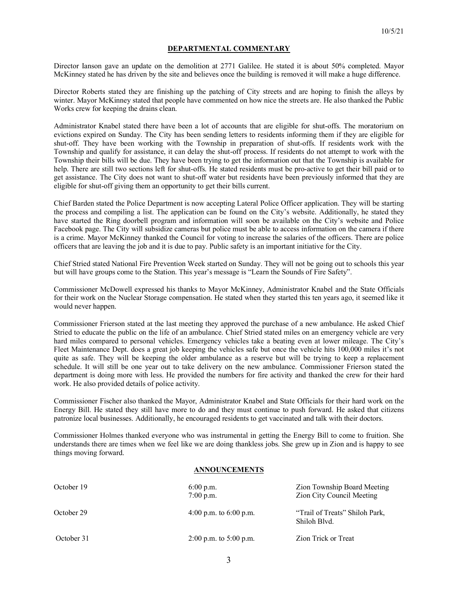### **DEPARTMENTAL COMMENTARY**

Director Ianson gave an update on the demolition at 2771 Galilee. He stated it is about 50% completed. Mayor McKinney stated he has driven by the site and believes once the building is removed it will make a huge difference.

Director Roberts stated they are finishing up the patching of City streets and are hoping to finish the alleys by winter. Mayor McKinney stated that people have commented on how nice the streets are. He also thanked the Public Works crew for keeping the drains clean.

Administrator Knabel stated there have been a lot of accounts that are eligible for shut-offs. The moratorium on evictions expired on Sunday. The City has been sending letters to residents informing them if they are eligible for shut-off. They have been working with the Township in preparation of shut-offs. If residents work with the Township and qualify for assistance, it can delay the shut-off process. If residents do not attempt to work with the Township their bills will be due. They have been trying to get the information out that the Township is available for help. There are still two sections left for shut-offs. He stated residents must be pro-active to get their bill paid or to get assistance. The City does not want to shut-off water but residents have been previously informed that they are eligible for shut-off giving them an opportunity to get their bills current.

Chief Barden stated the Police Department is now accepting Lateral Police Officer application. They will be starting the process and compiling a list. The application can be found on the City's website. Additionally, he stated they have started the Ring doorbell program and information will soon be available on the City's website and Police Facebook page. The City will subsidize cameras but police must be able to access information on the camera if there is a crime. Mayor McKinney thanked the Council for voting to increase the salaries of the officers. There are police officers that are leaving the job and it is due to pay. Public safety is an important initiative for the City.

Chief Stried stated National Fire Prevention Week started on Sunday. They will not be going out to schools this year but will have groups come to the Station. This year's message is "Learn the Sounds of Fire Safety".

Commissioner McDowell expressed his thanks to Mayor McKinney, Administrator Knabel and the State Officials for their work on the Nuclear Storage compensation. He stated when they started this ten years ago, it seemed like it would never happen.

Commissioner Frierson stated at the last meeting they approved the purchase of a new ambulance. He asked Chief Stried to educate the public on the life of an ambulance. Chief Stried stated miles on an emergency vehicle are very hard miles compared to personal vehicles. Emergency vehicles take a beating even at lower mileage. The City's Fleet Maintenance Dept. does a great job keeping the vehicles safe but once the vehicle hits 100,000 miles it's not quite as safe. They will be keeping the older ambulance as a reserve but will be trying to keep a replacement schedule. It will still be one year out to take delivery on the new ambulance. Commissioner Frierson stated the department is doing more with less. He provided the numbers for fire activity and thanked the crew for their hard work. He also provided details of police activity.

Commissioner Fischer also thanked the Mayor, Administrator Knabel and State Officials for their hard work on the Energy Bill. He stated they still have more to do and they must continue to push forward. He asked that citizens patronize local businesses. Additionally, he encouraged residents to get vaccinated and talk with their doctors.

Commissioner Holmes thanked everyone who was instrumental in getting the Energy Bill to come to fruition. She understands there are times when we feel like we are doing thankless jobs. She grew up in Zion and is happy to see things moving forward.

#### **ANNOUNCEMENTS**

| October 19 | $6:00$ p.m.<br>$7:00$ p.m. | Zion Township Board Meeting<br>Zion City Council Meeting |
|------------|----------------------------|----------------------------------------------------------|
| October 29 | 4:00 p.m. to $6:00$ p.m.   | "Trail of Treats" Shiloh Park,<br>Shiloh Blvd.           |
| October 31 | $2:00$ p.m. to $5:00$ p.m. | Zion Trick or Treat                                      |